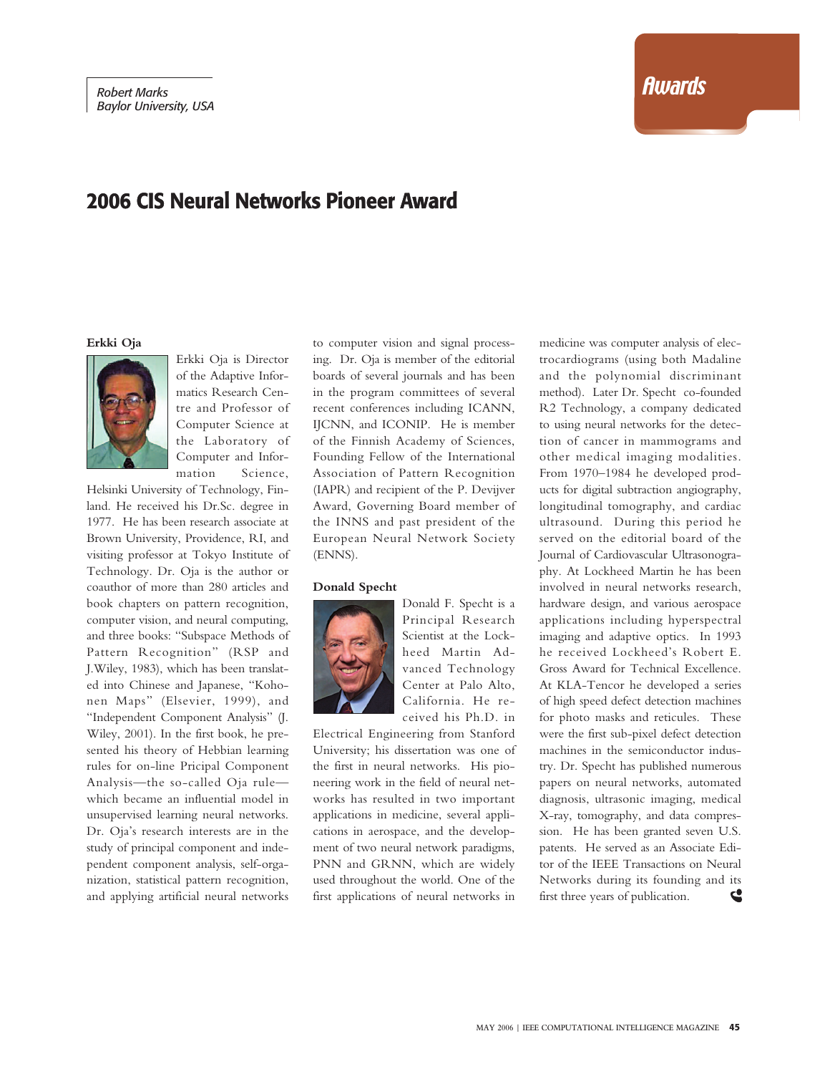# **Awards**

# **2006 CIS Neural Networks Pioneer Award**

**Erkki Oja**



Erkki Oja is Director of the Adaptive Informatics Research Centre and Professor of Computer Science at the Laboratory of Computer and Information Science,

Helsinki University of Technology, Finland. He received his Dr.Sc. degree in 1977. He has been research associate at Brown University, Providence, RI, and visiting professor at Tokyo Institute of Technology. Dr. Oja is the author or coauthor of more than 280 articles and book chapters on pattern recognition, computer vision, and neural computing, and three books: "Subspace Methods of Pattern Recognition" (RSP and J.Wiley, 1983), which has been translated into Chinese and Japanese, "Kohonen Maps" (Elsevier, 1999), and "Independent Component Analysis" (J. Wiley, 2001). In the first book, he presented his theory of Hebbian learning rules for on-line Pricipal Component Analysis—the so-called Oja rule which became an influential model in unsupervised learning neural networks. Dr. Oja's research interests are in the study of principal component and independent component analysis, self-organization, statistical pattern recognition, and applying artificial neural networks to computer vision and signal processing. Dr. Oja is member of the editorial boards of several journals and has been in the program committees of several recent conferences including ICANN, IJCNN, and ICONIP. He is member of the Finnish Academy of Sciences, Founding Fellow of the International Association of Pattern Recognition (IAPR) and recipient of the P. Devijver Award, Governing Board member of the INNS and past president of the European Neural Network Society (ENNS).

#### **Donald Specht**



Donald F. Specht is a Principal Research Scientist at the Lockheed Martin Advanced Technology Center at Palo Alto, California. He received his Ph.D. in

Electrical Engineering from Stanford University; his dissertation was one of the first in neural networks. His pioneering work in the field of neural networks has resulted in two important applications in medicine, several applications in aerospace, and the development of two neural network paradigms, PNN and GRNN, which are widely used throughout the world. One of the first applications of neural networks in

medicine was computer analysis of electrocardiograms (using both Madaline and the polynomial discriminant method). Later Dr. Specht co-founded R2 Technology, a company dedicated to using neural networks for the detection of cancer in mammograms and other medical imaging modalities. From 1970–1984 he developed products for digital subtraction angiography, longitudinal tomography, and cardiac ultrasound. During this period he served on the editorial board of the Journal of Cardiovascular Ultrasonography. At Lockheed Martin he has been involved in neural networks research, hardware design, and various aerospace applications including hyperspectral imaging and adaptive optics. In 1993 he received Lockheed's Robert E. Gross Award for Technical Excellence. At KLA-Tencor he developed a series of high speed defect detection machines for photo masks and reticules. These were the first sub-pixel defect detection machines in the semiconductor industry. Dr. Specht has published numerous papers on neural networks, automated diagnosis, ultrasonic imaging, medical X-ray, tomography, and data compression. He has been granted seven U.S. patents. He served as an Associate Editor of the IEEE Transactions on Neural Networks during its founding and its first three years of publication. S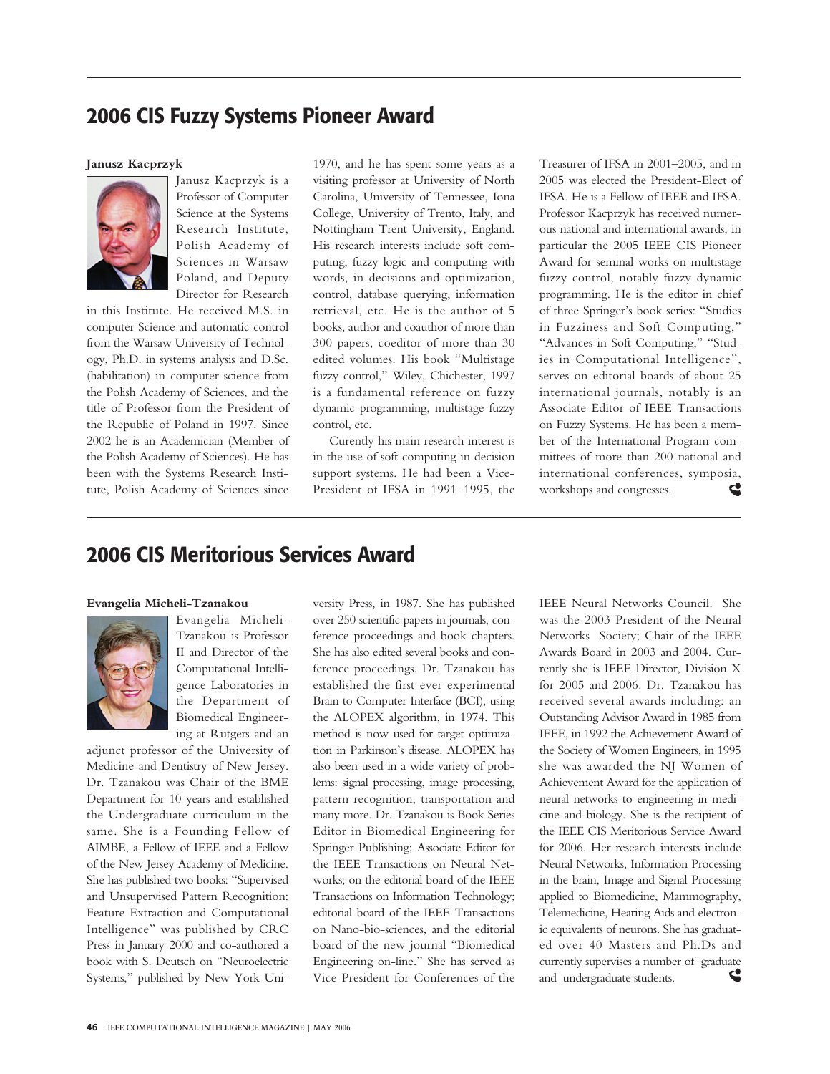### **2006 CIS Fuzzy Systems Pioneer Award**

### **Janusz Kacprzyk**



Janusz Kacprzyk is a Professor of Computer Science at the Systems Research Institute, Polish Academy of Sciences in Warsaw Poland, and Deputy Director for Research

in this Institute. He received M.S. in computer Science and automatic control from the Warsaw University of Technology, Ph.D. in systems analysis and D.Sc. (habilitation) in computer science from the Polish Academy of Sciences, and the title of Professor from the President of the Republic of Poland in 1997. Since 2002 he is an Academician (Member of the Polish Academy of Sciences). He has been with the Systems Research Institute, Polish Academy of Sciences since

1970, and he has spent some years as a visiting professor at University of North Carolina, University of Tennessee, Iona College, University of Trento, Italy, and Nottingham Trent University, England. His research interests include soft computing, fuzzy logic and computing with words, in decisions and optimization, control, database querying, information retrieval, etc. He is the author of 5 books, author and coauthor of more than 300 papers, coeditor of more than 30 edited volumes. His book "Multistage fuzzy control," Wiley, Chichester, 1997 is a fundamental reference on fuzzy dynamic programming, multistage fuzzy control, etc.

Curently his main research interest is in the use of soft computing in decision support systems. He had been a Vice-President of IFSA in 1991–1995, the Treasurer of IFSA in 2001–2005, and in 2005 was elected the President-Elect of IFSA. He is a Fellow of IEEE and IFSA. Professor Kacprzyk has received numerous national and international awards, in particular the 2005 IEEE CIS Pioneer Award for seminal works on multistage fuzzy control, notably fuzzy dynamic programming. He is the editor in chief of three Springer's book series: "Studies in Fuzziness and Soft Computing," "Advances in Soft Computing," "Studies in Computational Intelligence", serves on editorial boards of about 25 international journals, notably is an Associate Editor of IEEE Transactions on Fuzzy Systems. He has been a member of the International Program committees of more than 200 national and international conferences, symposia, workshops and congresses. G

# **2006 CIS Meritorious Services Award**

#### **Evangelia Micheli-Tzanakou**



Evangelia Micheli-Tzanakou is Professor II and Director of the Computational Intelligence Laboratories in the Department of Biomedical Engineering at Rutgers and an

adjunct professor of the University of Medicine and Dentistry of New Jersey. Dr. Tzanakou was Chair of the BME Department for 10 years and established the Undergraduate curriculum in the same. She is a Founding Fellow of AIMBE, a Fellow of IEEE and a Fellow of the New Jersey Academy of Medicine. She has published two books: "Supervised and Unsupervised Pattern Recognition: Feature Extraction and Computational Intelligence" was published by CRC Press in January 2000 and co-authored a book with S. Deutsch on "Neuroelectric Systems," published by New York University Press, in 1987. She has published over 250 scientific papers in journals, conference proceedings and book chapters. She has also edited several books and conference proceedings. Dr. Tzanakou has established the first ever experimental Brain to Computer Interface (BCI), using the ALOPEX algorithm, in 1974. This method is now used for target optimization in Parkinson's disease. ALOPEX has also been used in a wide variety of problems: signal processing, image processing, pattern recognition, transportation and many more. Dr. Tzanakou is Book Series Editor in Biomedical Engineering for Springer Publishing; Associate Editor for the IEEE Transactions on Neural Networks; on the editorial board of the IEEE Transactions on Information Technology; editorial board of the IEEE Transactions on Nano-bio-sciences, and the editorial board of the new journal "Biomedical Engineering on-line." She has served as Vice President for Conferences of the IEEE Neural Networks Council. She was the 2003 President of the Neural Networks Society; Chair of the IEEE Awards Board in 2003 and 2004. Currently she is IEEE Director, Division X for 2005 and 2006. Dr. Tzanakou has received several awards including: an Outstanding Advisor Award in 1985 from IEEE, in 1992 the Achievement Award of the Society of Women Engineers, in 1995 she was awarded the NJ Women of Achievement Award for the application of neural networks to engineering in medicine and biology. She is the recipient of the IEEE CIS Meritorious Service Award for 2006. Her research interests include Neural Networks, Information Processing in the brain, Image and Signal Processing applied to Biomedicine, Mammography, Telemedicine, Hearing Aids and electronic equivalents of neurons. She has graduated over 40 Masters and Ph.Ds and currently supervises a number of graduate and undergraduate students. S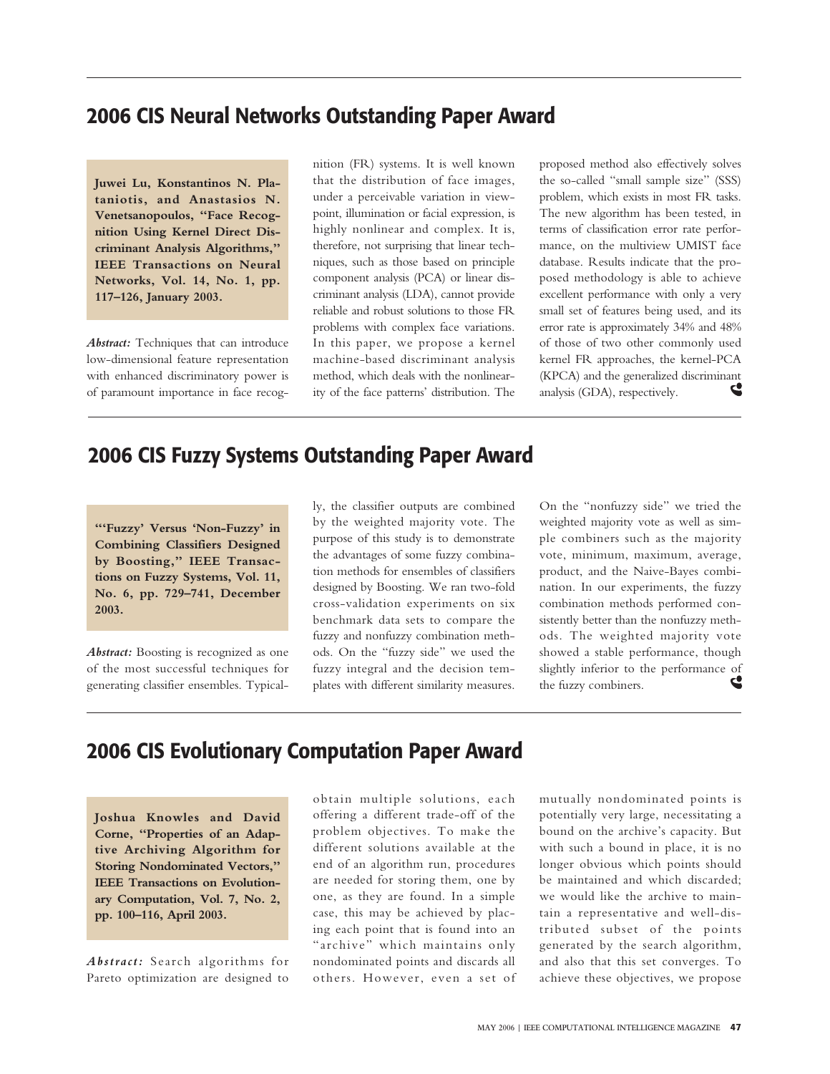# **2006 CIS Neural Networks Outstanding Paper Award**

**Juwei Lu, Konstantinos N. Plataniotis, and Anastasios N. Venetsanopoulos, "Face Recognition Using Kernel Direct Discriminant Analysis Algorithms," IEEE Transactions on Neural Networks, Vol. 14, No. 1, pp. 117–126, January 2003.**

*Abstract:* Techniques that can introduce low-dimensional feature representation with enhanced discriminatory power is of paramount importance in face recognition (FR) systems. It is well known that the distribution of face images, under a perceivable variation in viewpoint, illumination or facial expression, is highly nonlinear and complex. It is, therefore, not surprising that linear techniques, such as those based on principle component analysis (PCA) or linear discriminant analysis (LDA), cannot provide reliable and robust solutions to those FR problems with complex face variations. In this paper, we propose a kernel machine-based discriminant analysis method, which deals with the nonlinearity of the face patterns' distribution. The proposed method also effectively solves the so-called "small sample size" (SSS) problem, which exists in most FR tasks. The new algorithm has been tested, in terms of classification error rate performance, on the multiview UMIST face database. Results indicate that the proposed methodology is able to achieve excellent performance with only a very small set of features being used, and its error rate is approximately 34% and 48% of those of two other commonly used kernel FR approaches, the kernel-PCA (KPCA) and the generalized discriminant S analysis (GDA), respectively.

### **2006 CIS Fuzzy Systems Outstanding Paper Award**

**"'Fuzzy' Versus 'Non-Fuzzy' in Combining Classifiers Designed by Boosting," IEEE Transactions on Fuzzy Systems, Vol. 11, No. 6, pp. 729–741, December 2003.**

*Abstract:* Boosting is recognized as one of the most successful techniques for generating classifier ensembles. Typically, the classifier outputs are combined by the weighted majority vote. The purpose of this study is to demonstrate the advantages of some fuzzy combination methods for ensembles of classifiers designed by Boosting. We ran two-fold cross-validation experiments on six benchmark data sets to compare the fuzzy and nonfuzzy combination methods. On the "fuzzy side" we used the fuzzy integral and the decision templates with different similarity measures. On the "nonfuzzy side" we tried the weighted majority vote as well as simple combiners such as the majority vote, minimum, maximum, average, product, and the Naive-Bayes combination. In our experiments, the fuzzy combination methods performed consistently better than the nonfuzzy methods. The weighted majority vote showed a stable performance, though slightly inferior to the performance of S the fuzzy combiners.

### **2006 CIS Evolutionary Computation Paper Award**

**Joshua Knowles and David Corne, "Properties of an Adaptive Archiving Algorithm for Storing Nondominated Vectors," IEEE Transactions on Evolutionary Computation, Vol. 7, No. 2, pp. 100–116, April 2003.**

*Abstract:* Search algorithms for Pareto optimization are designed to

obtain multiple solutions, each offering a different trade-off of the problem objectives. To make the different solutions available at the end of an algorithm run, procedures are needed for storing them, one by one, as they are found. In a simple case, this may be achieved by placing each point that is found into an "archive" which maintains only nondominated points and discards all others. However, even a set of mutually nondominated points is potentially very large, necessitating a bound on the archive's capacity. But with such a bound in place, it is no longer obvious which points should be maintained and which discarded; we would like the archive to maintain a representative and well-distributed subset of the points generated by the search algorithm, and also that this set converges. To achieve these objectives, we propose